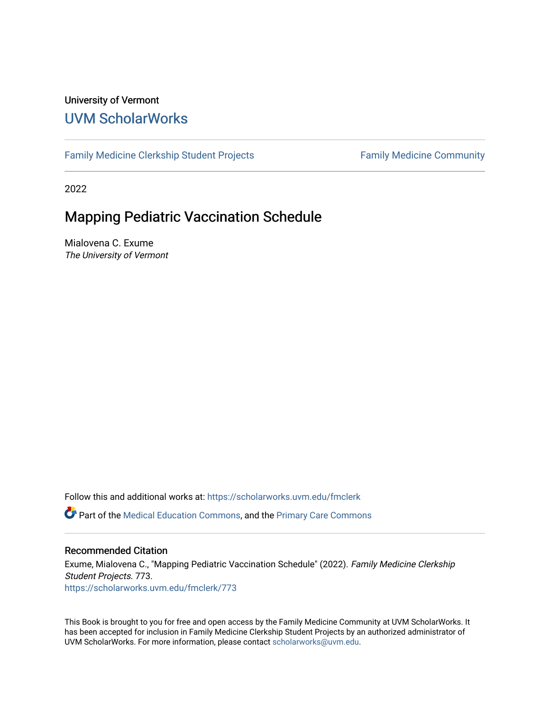#### University of Vermont [UVM ScholarWorks](https://scholarworks.uvm.edu/)

[Family Medicine Clerkship Student Projects](https://scholarworks.uvm.edu/fmclerk) Family Medicine Community

2022

#### Mapping Pediatric Vaccination Schedule

Mialovena C. Exume The University of Vermont

Follow this and additional works at: [https://scholarworks.uvm.edu/fmclerk](https://scholarworks.uvm.edu/fmclerk?utm_source=scholarworks.uvm.edu%2Ffmclerk%2F773&utm_medium=PDF&utm_campaign=PDFCoverPages) 

Part of the [Medical Education Commons,](https://network.bepress.com/hgg/discipline/1125?utm_source=scholarworks.uvm.edu%2Ffmclerk%2F773&utm_medium=PDF&utm_campaign=PDFCoverPages) and the [Primary Care Commons](https://network.bepress.com/hgg/discipline/1092?utm_source=scholarworks.uvm.edu%2Ffmclerk%2F773&utm_medium=PDF&utm_campaign=PDFCoverPages) 

#### Recommended Citation

Exume, Mialovena C., "Mapping Pediatric Vaccination Schedule" (2022). Family Medicine Clerkship Student Projects. 773. [https://scholarworks.uvm.edu/fmclerk/773](https://scholarworks.uvm.edu/fmclerk/773?utm_source=scholarworks.uvm.edu%2Ffmclerk%2F773&utm_medium=PDF&utm_campaign=PDFCoverPages) 

This Book is brought to you for free and open access by the Family Medicine Community at UVM ScholarWorks. It has been accepted for inclusion in Family Medicine Clerkship Student Projects by an authorized administrator of UVM ScholarWorks. For more information, please contact [scholarworks@uvm.edu.](mailto:scholarworks@uvm.edu)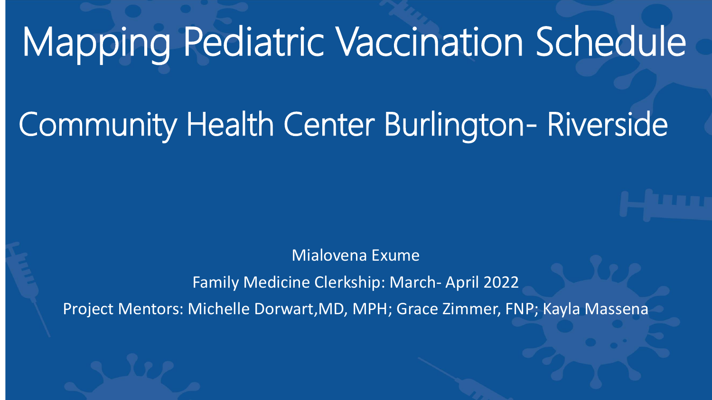#### Mapping Pediatric Vaccination Schedule

#### Community Health Center Burlington- Riverside

Mialovena Exume

Family Medicine Clerkship: March- April 2022

Project Mentors: Michelle Dorwart,MD, MPH; Grace Zimmer, FNP; Kayla Massena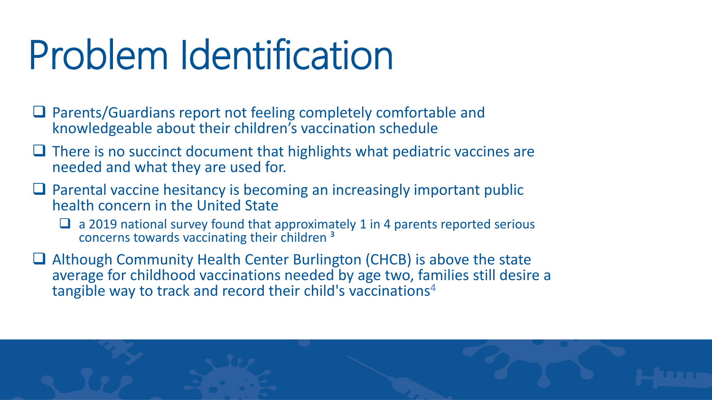### Problem Identification

- □ Parents/Guardians report not feeling completely comfortable and knowledgeable about their children's vaccination schedule
- □ There is no succinct document that highlights what pediatric vaccines are needed and what they are used for.
- □ Parental vaccine hesitancy is becoming an increasingly important public health concern in the United State
	- ❑ a 2019 national survey found that approximately 1 in 4 parents reported serious concerns towards vaccinating their children<sup>3</sup>
- □ Although Community Health Center Burlington (CHCB) is above the state average for childhood vaccinations needed by age two, families still desire a tangible way to track and record their child's vaccinations<sup>4</sup>

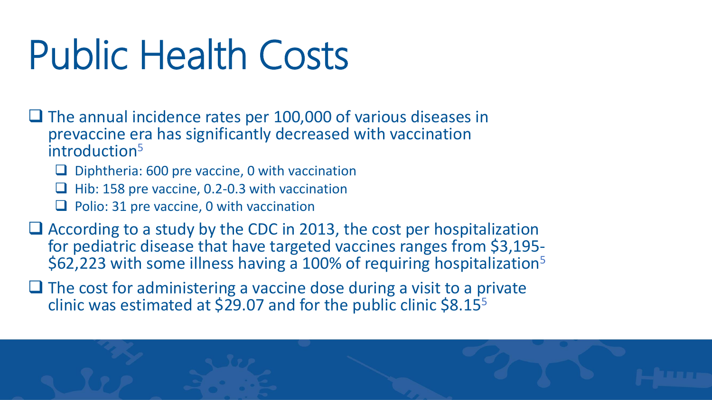#### Public Health Costs

- ❑ The annual incidence rates per 100,000 of various diseases in prevaccine era has significantly decreased with vaccination introduction<sup>5</sup>
	- ❑ Diphtheria: 600 pre vaccine, 0 with vaccination
	- ❑ Hib: 158 pre vaccine, 0.2-0.3 with vaccination
	- ❑ Polio: 31 pre vaccine, 0 with vaccination
- ❑ According to a study by the CDC in 2013, the cost per hospitalization for pediatric disease that have targeted vaccines ranges from \$3,195- \$62,223 with some illness having a 100% of requiring hospitalization<sup>5</sup>
- ❑ The cost for administering a vaccine dose during a visit to a private clinic was estimated at  $\frac{529.07}{3}$  and for the public clinic  $\frac{58.15}{5}$

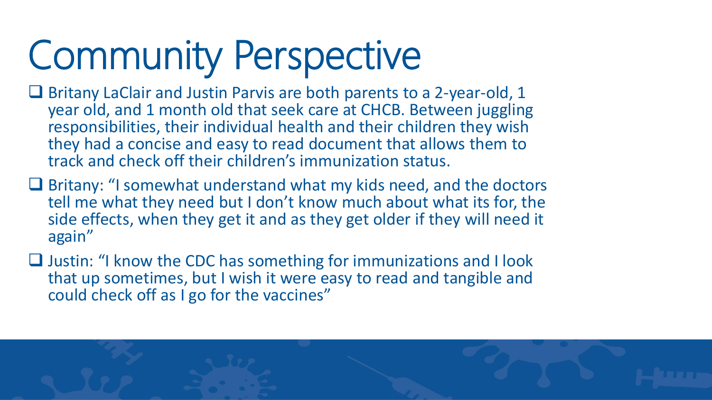## Community Perspective

- Britany LaClair and Justin Parvis are both parents to a 2-year-old, 1 year old, and 1 month old that seek care at CHCB. Between juggling responsibilities, their individual health and their children they wish they had a concise and easy to read document that allows them to track and check off their children's immunization status.
- ❑ Britany: "I somewhat understand what my kids need, and the doctors tell me what they need but I don't know much about what its for, the side effects, when they get it and as they get older if they will need it again"
- ❑ Justin: "I know the CDC has something for immunizations and I look that up sometimes, but I wish it were easy to read and tangible and could check off as I go for the vaccines"

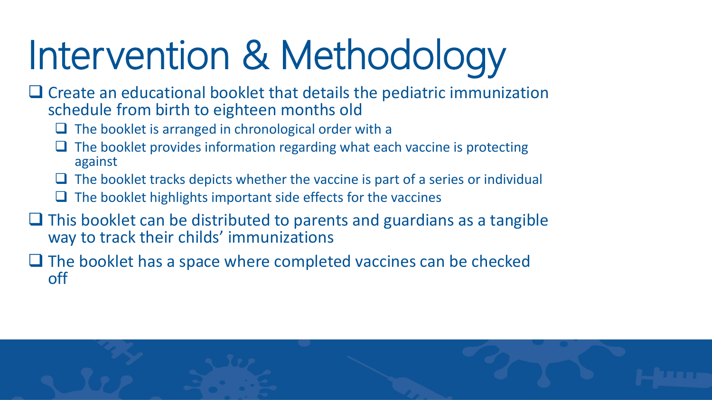# Intervention & Methodology

- ❑ Create an educational booklet that details the pediatric immunization schedule from birth to eighteen months old
	- □ The booklet is arranged in chronological order with a
	- The booklet provides information regarding what each vaccine is protecting against
	- $\Box$  The booklet tracks depicts whether the vaccine is part of a series or individual
	- ❑ The booklet highlights important side effects for the vaccines
- □ This booklet can be distributed to parents and guardians as a tangible way to track their childs' immunizations
- ❑ The booklet has a space where completed vaccines can be checked off

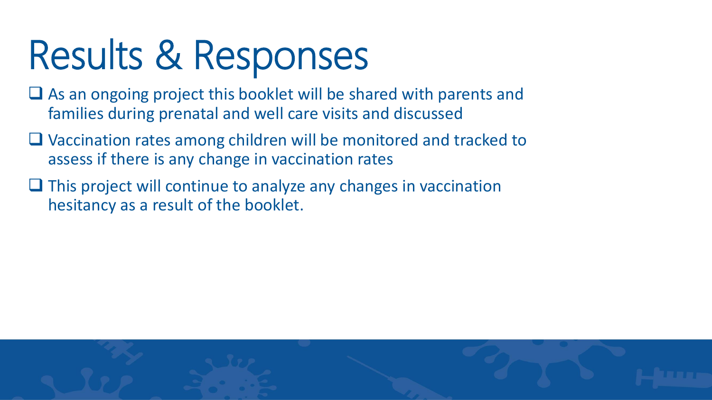## Results & Responses

- □ As an ongoing project this booklet will be shared with parents and families during prenatal and well care visits and discussed
- ❑ Vaccination rates among children will be monitored and tracked to assess if there is any change in vaccination rates
- ❑ This project will continue to analyze any changes in vaccination hesitancy as a result of the booklet.

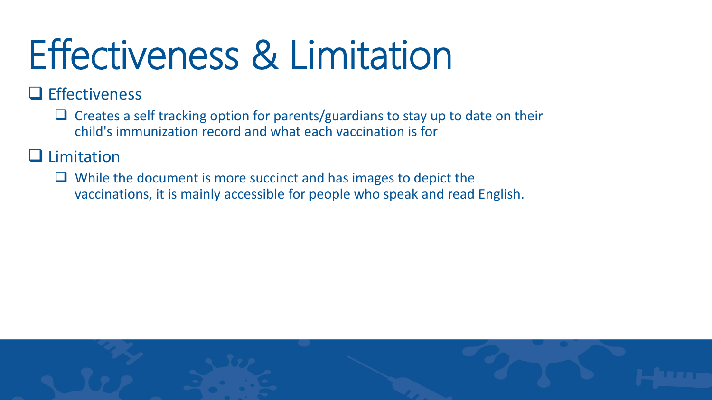### Effectiveness & Limitation

❑ Effectiveness

❑ Creates a self tracking option for parents/guardians to stay up to date on their child's immunization record and what each vaccination is for

#### ❑ Limitation

❑ While the document is more succinct and has images to depict the vaccinations, it is mainly accessible for people who speak and read English.

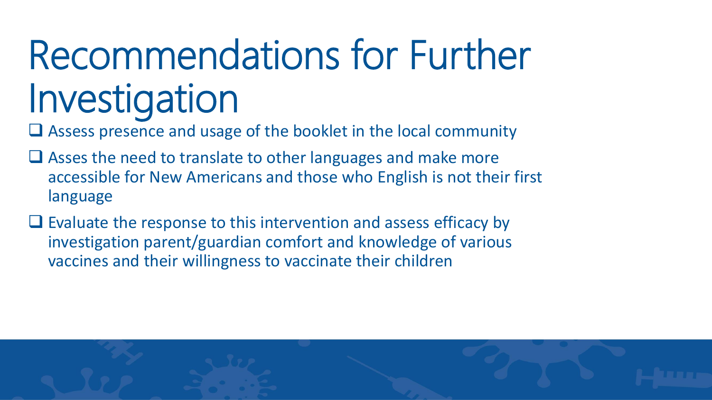### Recommendations for Further Investigation

□ Assess presence and usage of the booklet in the local community

- Asses the need to translate to other languages and make more accessible for New Americans and those who English is not their first language
- ❑ Evaluate the response to this intervention and assess efficacy by investigation parent/guardian comfort and knowledge of various vaccines and their willingness to vaccinate their children